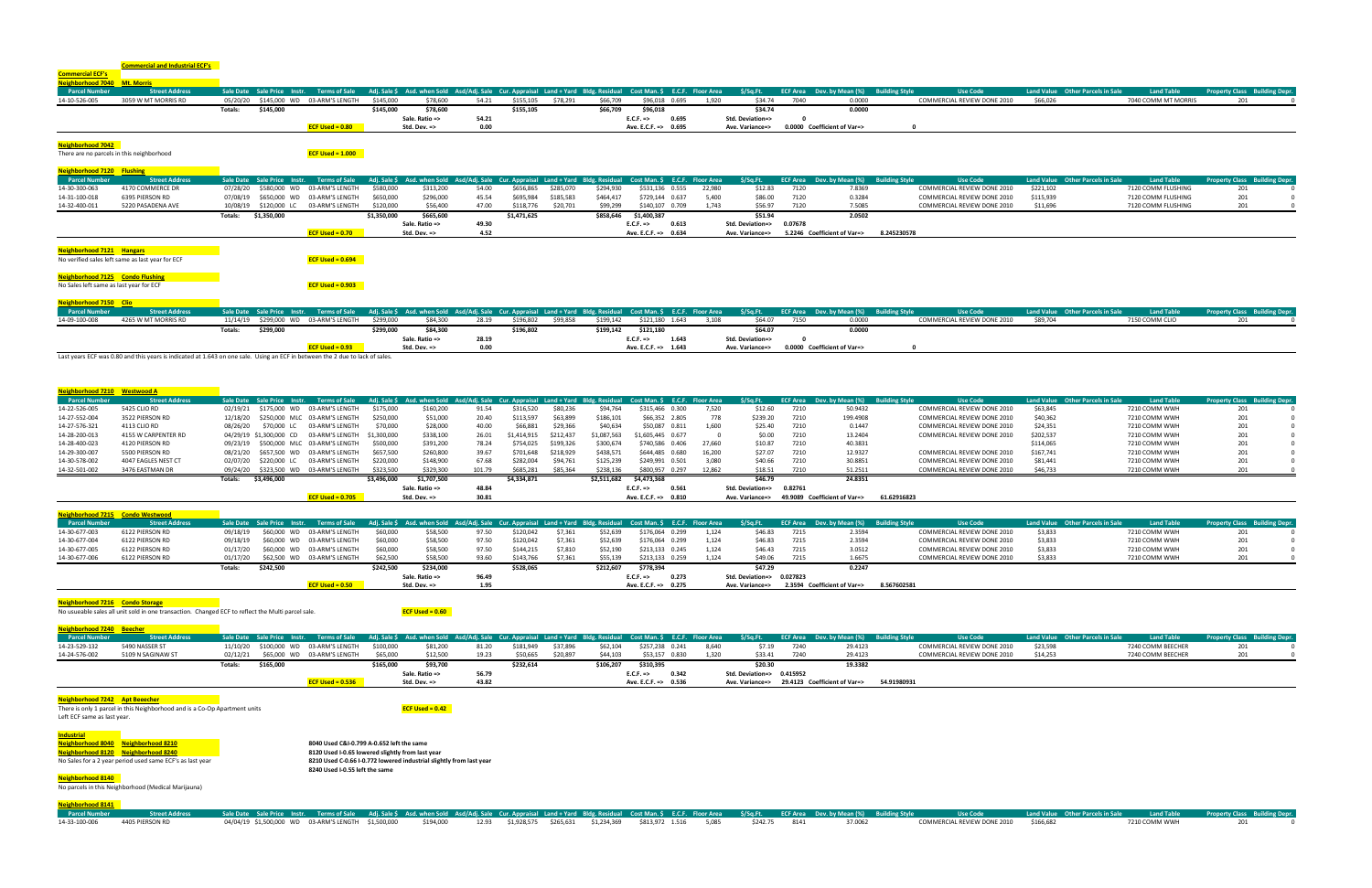|                                         | <b>Commercial and Industrial ECF's</b>                                                                                        |                  |                             |                                                     |              |                                                                                                                                                            |        |                                                         |           |             |                                                  |          |                           |          |                                              |                                                                         |                                              |                                          |                                             |
|-----------------------------------------|-------------------------------------------------------------------------------------------------------------------------------|------------------|-----------------------------|-----------------------------------------------------|--------------|------------------------------------------------------------------------------------------------------------------------------------------------------------|--------|---------------------------------------------------------|-----------|-------------|--------------------------------------------------|----------|---------------------------|----------|----------------------------------------------|-------------------------------------------------------------------------|----------------------------------------------|------------------------------------------|---------------------------------------------|
| <b>Commercial ECF's</b>                 |                                                                                                                               |                  |                             |                                                     |              |                                                                                                                                                            |        |                                                         |           |             |                                                  |          |                           |          |                                              |                                                                         |                                              |                                          |                                             |
| Neighborhood 7040 Mt. Morris            |                                                                                                                               |                  |                             |                                                     |              |                                                                                                                                                            |        |                                                         |           |             |                                                  |          |                           |          |                                              |                                                                         |                                              |                                          |                                             |
| <b>Parcel Number</b><br>14-10-526-005   | <b>Street Address</b><br>3059 W MT MORRIS RD                                                                                  | 05/20/20         | Sale Date Sale Price Instr. | Terms of Sale<br>\$145,000 WD 03-ARM'S LENGTH       | \$145,000    | Adj. Sale \$ Asd. when Sold Asd/Adj. Sale Cur. Appraisal Land + Yard Bldg. Residual<br>\$78,600                                                            | 54.21  | \$155,105                                               | \$78,291  | \$66,709    | Cost Man. \$ E.C.F. Floor Area<br>\$96.018 0.695 | 1,920    | $$$ /Sq.Ft.<br>\$34.74    | 7040     | ECF Area Dev. by Mean (%)<br>0.0000          | <b>Building Style</b><br><b>Use Code</b><br>COMMERCIAL REVIEW DONE 2010 | Land Value Other Parcels in Sale<br>\$66,026 | <b>Land Table</b><br>7040 COMM MT MORRIS | <b>Property Class Building Depr.</b><br>201 |
|                                         |                                                                                                                               | Totals:          | \$145,000                   |                                                     | \$145,000    | \$78,600                                                                                                                                                   |        | \$155,105                                               |           | \$66,709    | \$96,018                                         |          | \$34.74                   |          | 0.0000                                       |                                                                         |                                              |                                          |                                             |
|                                         |                                                                                                                               |                  |                             |                                                     |              | Sale. Ratio =>                                                                                                                                             | 54.21  |                                                         |           |             | 0.695<br>$E.C.F. =>$                             |          | Std. Deviation=>          | $\Omega$ |                                              |                                                                         |                                              |                                          |                                             |
|                                         |                                                                                                                               |                  |                             | ECF Used = $0.80$                                   |              | Std. Dev. =>                                                                                                                                               | 0.00   |                                                         |           |             | Ave. E.C.F. => 0.695                             |          | Ave. Variance=>           |          | 0.0000 Coefficient of Var=>                  | 0                                                                       |                                              |                                          |                                             |
|                                         |                                                                                                                               |                  |                             |                                                     |              |                                                                                                                                                            |        |                                                         |           |             |                                                  |          |                           |          |                                              |                                                                         |                                              |                                          |                                             |
| <b>Neighborhood 7042</b>                |                                                                                                                               |                  |                             |                                                     |              |                                                                                                                                                            |        |                                                         |           |             |                                                  |          |                           |          |                                              |                                                                         |                                              |                                          |                                             |
|                                         | There are no parcels in this neighborhood                                                                                     |                  |                             | $ECF Used = 1.000$                                  |              |                                                                                                                                                            |        |                                                         |           |             |                                                  |          |                           |          |                                              |                                                                         |                                              |                                          |                                             |
|                                         |                                                                                                                               |                  |                             |                                                     |              |                                                                                                                                                            |        |                                                         |           |             |                                                  |          |                           |          |                                              |                                                                         |                                              |                                          |                                             |
| Neighborhood 7120 Flushing              |                                                                                                                               |                  |                             |                                                     |              |                                                                                                                                                            |        |                                                         |           |             |                                                  |          |                           |          |                                              |                                                                         |                                              |                                          |                                             |
| <b>Parcel Number</b>                    | <b>Street Address</b>                                                                                                         |                  |                             | Sale Date Sale Price Instr. Terms of Sale           |              | Adi. Sale S Asd. when Sold Asd/Adi. Sale Cur. Appraisal Land + Yard Bldg. Residual                                                                         |        |                                                         |           |             | Cost Man. \$ E.C.F. Floor Area                   |          | S/Sq.Ft.                  |          | <b>ECF Area</b> Dev. by Mean (%)             | <b>Building Style</b><br><b>Use Code</b>                                | Land Value Other Parcels in Sale             | <b>Land Table</b>                        | <b>Property Class Building Depr.</b>        |
| 14-30-300-063                           | 4170 COMMERCE DR                                                                                                              | 07/28/20         |                             | \$580,000 WD 03-ARM'S LENGTH                        | \$580,000    | \$313,200                                                                                                                                                  | 54.00  | \$656,865                                               | \$285,070 | \$294,930   | \$531,136 0.555                                  | 22,980   | \$12.83                   | 7120     | 7.8369                                       | COMMERCIAL REVIEW DONE 2010                                             | \$221,102                                    | 7120 COMM FLUSHING                       | 201                                         |
| 14-31-100-018                           | 6395 PIERSON RD                                                                                                               | 07/08/19         |                             | \$650,000 WD 03-ARM'S LENGTH                        | \$650,000    | \$296,000                                                                                                                                                  | 45.54  | \$695,984                                               | \$185,583 | \$464,417   | \$729,144 0.637                                  | 5,400    | \$86.00                   | 7120     | 0.3284                                       | COMMERCIAL REVIEW DONE 2010                                             | \$115,939                                    | 7120 COMM FLUSHING                       | 201                                         |
| 14-32-400-011                           | 5220 PASADENA AVE                                                                                                             | 10/08/19         |                             | \$120,000 LC 03-ARM'S LENGTH                        | \$120,000    | \$56,400                                                                                                                                                   | 47.00  | \$118,776                                               | \$20,701  | \$99,299    | \$140,107 0.709                                  | 1,743    | \$56.97                   | 7120     | 7.5085                                       | COMMERCIAL REVIEW DONE 2010                                             | \$11,696                                     | 7120 COMM FLUSHING                       | 201                                         |
|                                         |                                                                                                                               | <b>Totals:</b>   | \$1,350,000                 |                                                     | \$1,350,000  | \$665,600                                                                                                                                                  |        | \$1,471,625                                             |           | \$858,646   | \$1,400,387                                      |          | \$51.94                   |          | 2.0502                                       |                                                                         |                                              |                                          |                                             |
|                                         |                                                                                                                               |                  |                             |                                                     |              | Sale. Ratio =>                                                                                                                                             | 49.30  |                                                         |           |             | $E.C.F. =>$<br>0.613                             |          | Std. Deviation=>          | 0.07678  |                                              |                                                                         |                                              |                                          |                                             |
|                                         |                                                                                                                               |                  |                             | ECF Used = $0.70$                                   |              | Std. Dev. =>                                                                                                                                               | 4.52   |                                                         |           |             | Ave. E.C.F. => 0.634                             |          | Ave. Variance=>           |          | 5.2246 Coefficient of Var=>                  | 8.245230578                                                             |                                              |                                          |                                             |
|                                         |                                                                                                                               |                  |                             |                                                     |              |                                                                                                                                                            |        |                                                         |           |             |                                                  |          |                           |          |                                              |                                                                         |                                              |                                          |                                             |
| Neighborhood 7121 Hangars               |                                                                                                                               |                  |                             |                                                     |              |                                                                                                                                                            |        |                                                         |           |             |                                                  |          |                           |          |                                              |                                                                         |                                              |                                          |                                             |
|                                         | No verified sales left same as last year for ECF                                                                              |                  |                             | ECF Used = $0.694$                                  |              |                                                                                                                                                            |        |                                                         |           |             |                                                  |          |                           |          |                                              |                                                                         |                                              |                                          |                                             |
| <u>Neighborhood 7125 Condo Flushing</u> |                                                                                                                               |                  |                             |                                                     |              |                                                                                                                                                            |        |                                                         |           |             |                                                  |          |                           |          |                                              |                                                                         |                                              |                                          |                                             |
| No Sales left same as last year for ECF |                                                                                                                               |                  |                             | ECF Used = $0.903$                                  |              |                                                                                                                                                            |        |                                                         |           |             |                                                  |          |                           |          |                                              |                                                                         |                                              |                                          |                                             |
|                                         |                                                                                                                               |                  |                             |                                                     |              |                                                                                                                                                            |        |                                                         |           |             |                                                  |          |                           |          |                                              |                                                                         |                                              |                                          |                                             |
| Neighborhood 7150 Clio                  |                                                                                                                               |                  |                             |                                                     |              |                                                                                                                                                            |        |                                                         |           |             |                                                  |          |                           |          |                                              |                                                                         |                                              |                                          |                                             |
| <b>Parcel Number</b>                    | <b>Street Address</b>                                                                                                         |                  |                             | Sale Date Sale Price Instr. Terms of Sale           |              | Adj. Sale \$ Asd. when Sold Asd/Adj. Sale Cur. Appraisal Land + Yard Bldg. Residual Cost Man. \$ E.C.F. Floor Area                                         |        |                                                         |           |             |                                                  |          | $$$ /Sq.Ft.               |          | ECF Area Dev. by Mean (%)                    | <b>Building Style</b><br><b>Use Code</b>                                | Land Value  Other Parcels in Sale            | <b>Land Table</b>                        | <b>Property Class Building Depr.</b>        |
| 14-09-100-008                           | 4265 W MT MORRIS RD                                                                                                           | 11/14/19         |                             | \$299,000 WD 03-ARM'S LENGTH                        | \$299,000    | \$84,300                                                                                                                                                   | 28.19  | \$196,802                                               | \$99,858  | \$199,142   | \$121,180 1.643                                  | 3,108    | \$64.07                   | 7150     | 0.0000                                       | COMMERCIAL REVIEW DONE 2010                                             | \$89,704                                     | 7150 COMM CLIO                           | 201                                         |
|                                         |                                                                                                                               | Totals:          | \$299,000                   |                                                     | \$299,000    | \$84,300                                                                                                                                                   |        | \$196,802                                               |           | \$199,142   | \$121,180                                        |          | \$64.07                   |          | 0.0000                                       |                                                                         |                                              |                                          |                                             |
|                                         |                                                                                                                               |                  |                             |                                                     |              | Sale. Ratio =>                                                                                                                                             | 28.19  |                                                         |           |             | 1.643<br>$E.C.F. =>$                             |          | Std. Deviation=>          | - 0      |                                              |                                                                         |                                              |                                          |                                             |
|                                         |                                                                                                                               |                  |                             | ECF Used = $0.93$                                   |              | Std. Dev. =>                                                                                                                                               | 0.00   |                                                         |           |             | Ave. E.C.F. => 1.643                             |          | Ave. Variance=>           |          | 0.0000 Coefficient of Var=>                  |                                                                         |                                              |                                          |                                             |
|                                         | Last years ECF was 0.80 and this years is indicated at 1.643 on one sale. Using an ECF in between the 2 due to lack of sales. |                  |                             |                                                     |              |                                                                                                                                                            |        |                                                         |           |             |                                                  |          |                           |          |                                              |                                                                         |                                              |                                          |                                             |
|                                         |                                                                                                                               |                  |                             |                                                     |              |                                                                                                                                                            |        |                                                         |           |             |                                                  |          |                           |          |                                              |                                                                         |                                              |                                          |                                             |
|                                         |                                                                                                                               |                  |                             |                                                     |              |                                                                                                                                                            |        |                                                         |           |             |                                                  |          |                           |          |                                              |                                                                         |                                              |                                          |                                             |
|                                         |                                                                                                                               |                  |                             |                                                     |              |                                                                                                                                                            |        |                                                         |           |             |                                                  |          |                           |          |                                              |                                                                         |                                              |                                          |                                             |
| Neighborhood 7210 Westwood A            |                                                                                                                               |                  |                             |                                                     |              |                                                                                                                                                            |        |                                                         |           |             |                                                  |          |                           |          |                                              |                                                                         |                                              |                                          |                                             |
| <b>Parcel Number</b>                    | <b>Street Address</b>                                                                                                         |                  |                             | Sale Date Sale Price Instr. Terms of Sale           | Adj. Sale \$ | Asd. when Sold Asd/Adj. Sale Cur. Appraisal Land + Yard Bldg. Residual                                                                                     |        |                                                         |           |             | Cost Man. \$ E.C.F. Floor Area                   |          | $$$ /Sq.Ft.               |          | ECF Area Dev. by Mean (%)                    | <b>Building Style</b><br><b>Use Code</b>                                | Land Value Other Parcels in Sale             | <b>Land Table</b>                        | <b>Property Class Building Depr.</b>        |
| 14-22-526-005                           | 5425 CLIO RD                                                                                                                  | 02/19/21         |                             | \$175,000 WD 03-ARM'S LENGTH                        | \$175,000    | \$160,200                                                                                                                                                  | 91.54  | \$316,520                                               | \$80,236  | \$94,764    | \$315,466 0.300                                  | 7,520    | \$12.60                   | 7210     | 50.9432                                      | COMMERCIAL REVIEW DONE 2010                                             | \$63,845                                     | 7210 COMM WWH                            | 201                                         |
| 14-27-552-004                           | 3522 PIERSON RD                                                                                                               | 12/18/20         |                             | \$250,000 MLC 03-ARM'S LENGTH                       | \$250,000    | \$51,000                                                                                                                                                   | 20.40  | \$113,597                                               | \$63,899  | \$186,101   | \$66,352 2.805                                   | 778      | \$239.20                  | 7210     | 199.4908                                     | COMMERCIAL REVIEW DONE 2010                                             | \$40,362                                     | 7210 COMM WWH                            | 201                                         |
| 14-27-576-321                           | 4113 CLIO RD                                                                                                                  | 08/26/20         |                             | \$70,000 LC 03-ARM'S LENGTH                         | \$70,000     | \$28,000                                                                                                                                                   | 40.00  | \$66,881                                                | \$29,366  | \$40,634    | \$50,087 0.811                                   | 1,600    | \$25.40                   | 7210     | 0.1447                                       | COMMERCIAL REVIEW DONE 2010                                             | \$24,351                                     | 7210 COMM WWH                            | 201                                         |
| 14-28-200-013                           | 4155 W CARPENTER RD                                                                                                           |                  |                             | 04/29/19 \$1,300,000 CD 03-ARM'S LENGTH             | \$1,300,000  | \$338,100                                                                                                                                                  | 26.01  | \$1,414,915                                             | \$212,437 | \$1,087,563 | \$1,605,445 0.677                                | $\Omega$ | \$0.00                    | 7210     | 13.2404                                      | COMMERCIAL REVIEW DONE 2010                                             | \$202,537                                    | 7210 COMM WWH                            | 201                                         |
| 14-28-400-023                           | 4120 PIERSON RD                                                                                                               | 09/23/19         |                             | \$500,000 MLC 03-ARM'S LENGTH                       | \$500,000    | \$391,200                                                                                                                                                  | 78.24  | \$754,025                                               | \$199,326 | \$300,674   | \$740,586 0.406                                  | 27,660   | \$10.87                   | 7210     | 40.3831                                      |                                                                         | \$114,065                                    | 7210 COMM WWH                            | 201                                         |
| 14-29-300-007                           | 5500 PIERSON RD                                                                                                               | 08/21/20         |                             | \$657,500 WD 03-ARM'S LENGTH                        | \$657,500    | \$260,800                                                                                                                                                  | 39.67  | \$701,648                                               | \$218,929 | \$438,571   | \$644,485 0.680                                  | 16,200   | \$27.07                   | 7210     | 12.9327                                      | COMMERCIAL REVIEW DONE 2010                                             | \$167,741                                    | 7210 COMM WWH                            | 201                                         |
| 14-30-578-002                           | 4047 EAGLES NEST CT                                                                                                           | 02/07/20         |                             | \$220,000 LC 03-ARM'S LENGTH                        | \$220,000    | \$148,900                                                                                                                                                  | 67.68  | \$282,004                                               | \$94,761  | \$125,239   | \$249,991 0.501                                  | 3,080    | \$40.66                   | 7210     | 30.8851                                      | COMMERCIAL REVIEW DONE 2010                                             | \$81,441                                     | 7210 COMM WWH                            | 201                                         |
| 14-32-501-002                           | 3476 EASTMAN DR                                                                                                               | 09/24/20         |                             | \$323,500 WD 03-ARM'S LENGTH                        | \$323,500    | \$329,300                                                                                                                                                  | 101.79 | \$685,281                                               | \$85,364  | \$238,136   | \$800,957 0.297                                  | 12,862   | \$18.51                   | 7210     | 51.2511                                      | COMMERCIAL REVIEW DONE 2010                                             | \$46,733                                     | 7210 COMM WWH                            | 201                                         |
|                                         |                                                                                                                               | Totals:          | \$3,496,000                 |                                                     | \$3,496,000  | \$1,707,500                                                                                                                                                |        | \$4,334,871                                             |           | \$2,511,682 | \$4,473,368                                      |          | \$46.79                   |          | 24.8351                                      |                                                                         |                                              |                                          |                                             |
|                                         |                                                                                                                               |                  |                             |                                                     |              | Sale. Ratio =>                                                                                                                                             | 48.84  |                                                         |           |             | $E.C.F. =>$<br>0.561                             |          | Std. Deviation=>          | 0.82761  |                                              |                                                                         |                                              |                                          |                                             |
|                                         |                                                                                                                               |                  |                             | ECF Used = $0.705$                                  |              | Std. Dev. =>                                                                                                                                               | 30.81  |                                                         |           |             | Ave. E.C.F. => 0.810                             |          |                           |          | Ave. Variance=> 49.9089 Coefficient of Var=> | 61.62916823                                                             |                                              |                                          |                                             |
|                                         |                                                                                                                               |                  |                             |                                                     |              |                                                                                                                                                            |        |                                                         |           |             |                                                  |          |                           |          |                                              |                                                                         |                                              |                                          |                                             |
|                                         | Neighborhood 7215 Condo Westwood                                                                                              |                  |                             |                                                     |              |                                                                                                                                                            |        |                                                         |           |             |                                                  |          |                           |          |                                              |                                                                         |                                              |                                          |                                             |
| <b>Parcel Number</b>                    | <b>Street Address</b>                                                                                                         | <b>Sale Date</b> | Sale Price Instr.           | Terms of Sale                                       | Adi. Sale S  | Asd. when Sold                                                                                                                                             |        | Asd/Adj. Sale Cur. Appraisal Land + Yard Bldg. Residual |           |             | Cost Man. \$ E.C.F. Floor Area                   |          | $$$ /Sq.Ft.               |          | ECF Area Dev. by Mean (%)                    | <b>Building Style</b><br><b>Use Code</b>                                | Land Value Other Parcels in Sale             | <b>Land Table</b>                        | <b>Property Class Building Depr.</b>        |
| 14-30-677-003                           | 6122 PIERSON RD                                                                                                               | 09/18/19         |                             | \$60,000 WD 03-ARM'S LENGTH                         | \$60,000     | \$58,500                                                                                                                                                   | 97.50  | \$120,042                                               | \$7,361   | \$52,639    | \$176,064 0.299                                  | 1,124    | \$46.83                   | 7215     | 2.3594                                       | COMMERCIAL REVIEW DONE 2010                                             | \$3,833                                      | 7210 COMM WWH                            | 201                                         |
| 14-30-677-004                           | 6122 PIERSON RD                                                                                                               | 09/18/19         |                             | \$60,000 WD 03-ARM'S LENGTH                         | \$60,000     | \$58,500                                                                                                                                                   | 97.50  | \$120,042                                               | \$7,361   | \$52,639    | \$176,064 0.299                                  | 1,124    | \$46.83                   | 7215     | 2.3594                                       | COMMERCIAL REVIEW DONE 2010                                             | \$3,833                                      | 7210 COMM WWH                            | 201                                         |
| 14-30-677-005                           | 6122 PIERSON RD                                                                                                               | 01/17/20         |                             | \$60,000 WD 03-ARM'S LENGTH                         | \$60,000     | \$58,500                                                                                                                                                   | 97.50  | \$144,215                                               | \$7,810   | \$52,190    | \$213,133 0.245                                  | 1,124    | \$46.43                   | 7215     | 3.0512                                       | COMMERCIAL REVIEW DONE 2010                                             | \$3,833                                      | 7210 COMM WWH                            | 201                                         |
| 14-30-677-006                           | 6122 PIERSON RD                                                                                                               | 01/17/20         |                             | \$62,500 WD 03-ARM'S LENGTH                         | \$62,500     | \$58,500                                                                                                                                                   | 93.60  | \$143,766                                               | \$7,361   | \$55,139    | \$213,133 0.259                                  | 1,124    | \$49.06                   | 7215     | 1.6675                                       | COMMERCIAL REVIEW DONE 2010                                             | \$3,833                                      | 7210 COMM WWH                            | 201                                         |
|                                         |                                                                                                                               | Totals:          | \$242,500                   |                                                     | \$242,500    | \$234,000                                                                                                                                                  |        | \$528,065                                               |           | \$212,607   | \$778,394                                        |          | \$47.29                   |          | 0.2247                                       |                                                                         |                                              |                                          |                                             |
|                                         |                                                                                                                               |                  |                             |                                                     |              | Sale. Ratio =>                                                                                                                                             | 96.49  |                                                         |           |             | $E.C.F. =>$<br>0.273                             |          | Std. Deviation=> 0.027823 |          |                                              |                                                                         |                                              |                                          |                                             |
|                                         |                                                                                                                               |                  |                             | ECF Used = $0.50$                                   |              | Std. Dev. =>                                                                                                                                               | 1.95   |                                                         |           |             | Ave. E.C.F. => 0.275                             |          |                           |          | Ave. Variance=> 2.3594 Coefficient of Var=>  | 8.567602581                                                             |                                              |                                          |                                             |
|                                         |                                                                                                                               |                  |                             |                                                     |              |                                                                                                                                                            |        |                                                         |           |             |                                                  |          |                           |          |                                              |                                                                         |                                              |                                          |                                             |
| Neighborhood 7216 Condo Storage         |                                                                                                                               |                  |                             |                                                     |              |                                                                                                                                                            |        |                                                         |           |             |                                                  |          |                           |          |                                              |                                                                         |                                              |                                          |                                             |
|                                         | No usueable sales all unit sold in one transaction. Changed ECF to reflect the Multi parcel sale.                             |                  |                             |                                                     |              | ECF Used = $0.60$                                                                                                                                          |        |                                                         |           |             |                                                  |          |                           |          |                                              |                                                                         |                                              |                                          |                                             |
| Neighborhood 7240 Beecher               |                                                                                                                               |                  |                             |                                                     |              |                                                                                                                                                            |        |                                                         |           |             |                                                  |          |                           |          |                                              |                                                                         |                                              |                                          |                                             |
|                                         |                                                                                                                               |                  |                             | Sale Date Sale Price Instr. Terms of Sale           | Adj. Sale \$ |                                                                                                                                                            |        | Asd/Adj. Sale Cur. Appraisal Land + Yard Bldg. Residual |           |             | Cost Man. \$ E.C.F. Floor Area                   |          | $$$ /Sq.Ft.               |          |                                              | <b>Use Code</b>                                                         | Land Value  Other Parcels in Sale            |                                          |                                             |
| <b>Parcel Number</b><br>14-23-529-132   | <b>Street Address</b><br>5490 NASSER ST                                                                                       |                  |                             | 11/10/20 \$100,000 WD 03-ARM'S LENGTH               | \$100,000    | Asd. when Sold<br>\$81,200                                                                                                                                 | 81.20  | \$181,949                                               | \$37,896  | \$62,104    | \$257,238 0.241                                  | 8,640    | \$7.19                    | 7240     | ECF Area Dev. by Mean (%)<br>29.4123         | <b>Building Style</b><br>COMMERCIAL REVIEW DONE 2010                    | \$23,598                                     | <b>Land Table</b><br>7240 COMM BEECHER   | <b>Property Class Building Depr.</b><br>201 |
| 14-24-576-002                           | 5109 N SAGINAW ST                                                                                                             | 02/12/21         |                             | \$65,000 WD 03-ARM'S LENGTH                         | \$65,000     | \$12,500                                                                                                                                                   | 19.23  | \$50,665                                                | \$20,897  | \$44,103    | \$53,157 0.830                                   | 1,320    | \$33.41                   | 7240     | 29.4123                                      | COMMERCIAL REVIEW DONE 2010                                             | \$14,253                                     | 7240 COMM BEECHER                        | 201                                         |
|                                         |                                                                                                                               | Totals:          | \$165,000                   |                                                     | \$165,000    | \$93,700                                                                                                                                                   |        | \$232,614                                               |           | \$106,207   | \$310,395                                        |          | \$20.30                   |          | 19.3382                                      |                                                                         |                                              |                                          |                                             |
|                                         |                                                                                                                               |                  |                             |                                                     |              | Sale. Ratio =>                                                                                                                                             | 56.79  |                                                         |           |             | 0.342<br>$E.C.F. =>$                             |          | Std. Deviation=> 0.415952 |          |                                              |                                                                         |                                              |                                          |                                             |
|                                         |                                                                                                                               |                  |                             | ECF Used = $0.536$                                  |              | Std. Dev. =>                                                                                                                                               | 43.82  |                                                         |           |             | Ave. E.C.F. => 0.536                             |          |                           |          | Ave. Variance=> 29.4123 Coefficient of Var=> | 54.91980931                                                             |                                              |                                          |                                             |
|                                         |                                                                                                                               |                  |                             |                                                     |              |                                                                                                                                                            |        |                                                         |           |             |                                                  |          |                           |          |                                              |                                                                         |                                              |                                          |                                             |
| Neighborhood 7242 Apt Beeecher          |                                                                                                                               |                  |                             |                                                     |              |                                                                                                                                                            |        |                                                         |           |             |                                                  |          |                           |          |                                              |                                                                         |                                              |                                          |                                             |
|                                         | There is only 1 parcel in this Neighborhood and is a Co-Op Apartment units                                                    |                  |                             |                                                     |              | ECF Used = $0.42$                                                                                                                                          |        |                                                         |           |             |                                                  |          |                           |          |                                              |                                                                         |                                              |                                          |                                             |
| Left ECF same as last year.             |                                                                                                                               |                  |                             |                                                     |              |                                                                                                                                                            |        |                                                         |           |             |                                                  |          |                           |          |                                              |                                                                         |                                              |                                          |                                             |
|                                         |                                                                                                                               |                  |                             |                                                     |              |                                                                                                                                                            |        |                                                         |           |             |                                                  |          |                           |          |                                              |                                                                         |                                              |                                          |                                             |
| <b>Industrial</b>                       |                                                                                                                               |                  |                             |                                                     |              |                                                                                                                                                            |        |                                                         |           |             |                                                  |          |                           |          |                                              |                                                                         |                                              |                                          |                                             |
|                                         | Neighborhood 8040 Neighborhood 8210                                                                                           |                  |                             | 8040 Used C&I-0.799 A-0.652 left the same           |              |                                                                                                                                                            |        |                                                         |           |             |                                                  |          |                           |          |                                              |                                                                         |                                              |                                          |                                             |
|                                         | Neighborhood 8120 Neighborhood 8240                                                                                           |                  |                             | 8120 Used I-0.65 lowered slightly from last year    |              |                                                                                                                                                            |        |                                                         |           |             |                                                  |          |                           |          |                                              |                                                                         |                                              |                                          |                                             |
|                                         | No Sales for a 2 year period used same ECF's as last year                                                                     |                  |                             |                                                     |              | 8210 Used C-0.66 I-0.772 lowered industrial slightly from last year                                                                                        |        |                                                         |           |             |                                                  |          |                           |          |                                              |                                                                         |                                              |                                          |                                             |
|                                         |                                                                                                                               |                  |                             | 8240 Used I-0.55 left the same                      |              |                                                                                                                                                            |        |                                                         |           |             |                                                  |          |                           |          |                                              |                                                                         |                                              |                                          |                                             |
| Neighborhood 8140                       |                                                                                                                               |                  |                             |                                                     |              |                                                                                                                                                            |        |                                                         |           |             |                                                  |          |                           |          |                                              |                                                                         |                                              |                                          |                                             |
|                                         | No parcels in this Neighborhood (Medical Marijauna)                                                                           |                  |                             |                                                     |              |                                                                                                                                                            |        |                                                         |           |             |                                                  |          |                           |          |                                              |                                                                         |                                              |                                          |                                             |
|                                         |                                                                                                                               |                  |                             |                                                     |              |                                                                                                                                                            |        |                                                         |           |             |                                                  |          |                           |          |                                              |                                                                         |                                              |                                          |                                             |
| Neighborhood 8141                       |                                                                                                                               |                  |                             |                                                     |              |                                                                                                                                                            |        |                                                         |           |             |                                                  |          |                           |          |                                              |                                                                         |                                              |                                          |                                             |
| <b>Parcel Number</b>                    | <b>Street Address</b>                                                                                                         |                  |                             |                                                     |              | Sale Date Sale Price Instr. Terms of Sale Adj. Sale \$Asd. when Sold Asd/Adj. Sale Cur. Appraisal Land + Yard Bldg. Residual Cost Man. \$E.C.F. Floor Area |        |                                                         |           |             |                                                  |          | $$$ /Sq.Ft.               |          | ECF Area Dev. by Mean (%)                    | <b>Building Style</b><br><b>Use Code</b>                                | Land Value Other Parcels in Sale             | <b>Land Table</b>                        | <b>Property Class</b> Building Depr.        |
| 14-33-100-006                           | 4405 PIERSON RD                                                                                                               |                  |                             | 04/04/19 \$1,500,000 WD 03-ARM'S LENGTH \$1,500,000 |              | \$194,000                                                                                                                                                  | 12.93  | \$1,928,575 \$265,631                                   |           | \$1,234,369 | \$813,972 1.516                                  | 5,085    | \$242.75                  | 8141     | 37.0062                                      | COMMERCIAL REVIEW DONE 2010                                             | \$166,682                                    | 7210 COMM WWH                            | 201                                         |
|                                         |                                                                                                                               |                  |                             |                                                     |              |                                                                                                                                                            |        |                                                         |           |             |                                                  |          |                           |          |                                              |                                                                         |                                              |                                          |                                             |
|                                         |                                                                                                                               |                  |                             |                                                     |              |                                                                                                                                                            |        |                                                         |           |             |                                                  |          |                           |          |                                              |                                                                         |                                              |                                          |                                             |